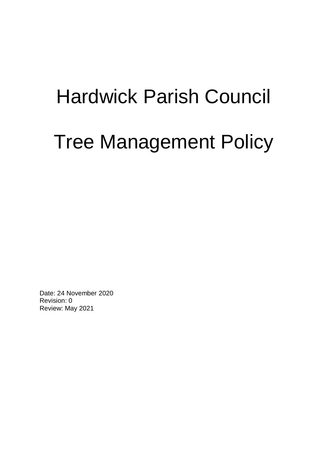## Hardwick Parish Council

# Tree Management Policy

Date: 24 November 2020 Revision: 0 Review: May 2021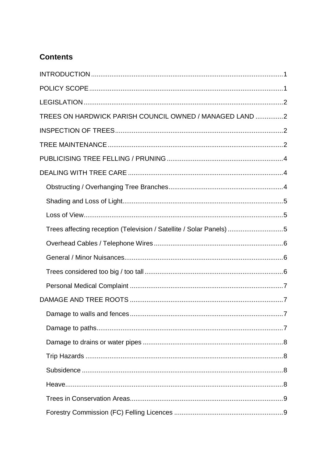## **Contents**

| TREES ON HARDWICK PARISH COUNCIL OWNED / MANAGED LAND 2             |
|---------------------------------------------------------------------|
|                                                                     |
|                                                                     |
|                                                                     |
|                                                                     |
|                                                                     |
|                                                                     |
|                                                                     |
| Trees affecting reception (Television / Satellite / Solar Panels) 5 |
|                                                                     |
|                                                                     |
|                                                                     |
|                                                                     |
|                                                                     |
| 7                                                                   |
|                                                                     |
|                                                                     |
|                                                                     |
|                                                                     |
|                                                                     |
|                                                                     |
|                                                                     |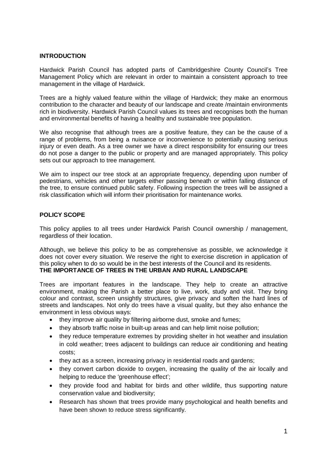## **INTRODUCTION**

Hardwick Parish Council has adopted parts of Cambridgeshire County Council's Tree Management Policy which are relevant in order to maintain a consistent approach to tree management in the village of Hardwick.

Trees are a highly valued feature within the village of Hardwick; they make an enormous contribution to the character and beauty of our landscape and create /maintain environments rich in biodiversity. Hardwick Parish Council values its trees and recognises both the human and environmental benefits of having a healthy and sustainable tree population.

We also recognise that although trees are a positive feature, they can be the cause of a range of problems, from being a nuisance or inconvenience to potentially causing serious injury or even death. As a tree owner we have a direct responsibility for ensuring our trees do not pose a danger to the public or property and are managed appropriately. This policy sets out our approach to tree management.

We aim to inspect our tree stock at an appropriate frequency, depending upon number of pedestrians, vehicles and other targets either passing beneath or within falling distance of the tree, to ensure continued public safety. Following inspection the trees will be assigned a risk classification which will inform their prioritisation for maintenance works.

## **POLICY SCOPE**

This policy applies to all trees under Hardwick Parish Council ownership / management, regardless of their location.

Although, we believe this policy to be as comprehensive as possible, we acknowledge it does not cover every situation. We reserve the right to exercise discretion in application of this policy when to do so would be in the best interests of the Council and its residents. **THE IMPORTANCE OF TREES IN THE URBAN AND RURAL LANDSCAPE** 

Trees are important features in the landscape. They help to create an attractive environment, making the Parish a better place to live, work, study and visit. They bring colour and contrast, screen unsightly structures, give privacy and soften the hard lines of streets and landscapes. Not only do trees have a visual quality, but they also enhance the environment in less obvious ways:

- they improve air quality by filtering airborne dust, smoke and fumes;
- they absorb traffic noise in built-up areas and can help limit noise pollution;
- they reduce temperature extremes by providing shelter in hot weather and insulation in cold weather; trees adjacent to buildings can reduce air conditioning and heating costs;
- they act as a screen, increasing privacy in residential roads and gardens;
- they convert carbon dioxide to oxygen, increasing the quality of the air locally and helping to reduce the 'greenhouse effect';
- they provide food and habitat for birds and other wildlife, thus supporting nature conservation value and biodiversity;
- Research has shown that trees provide many psychological and health benefits and have been shown to reduce stress significantly.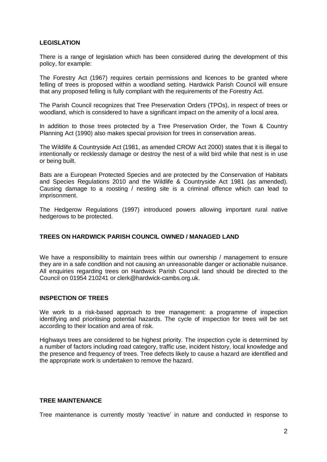## **LEGISLATION**

There is a range of legislation which has been considered during the development of this policy, for example:

The Forestry Act (1967) requires certain permissions and licences to be granted where felling of trees is proposed within a woodland setting. Hardwick Parish Council will ensure that any proposed felling is fully compliant with the requirements of the Forestry Act.

The Parish Council recognizes that Tree Preservation Orders (TPOs), in respect of trees or woodland, which is considered to have a significant impact on the amenity of a local area.

In addition to those trees protected by a Tree Preservation Order, the Town & Country Planning Act (1990) also makes special provision for trees in conservation areas.

The Wildlife & Countryside Act (1981, as amended CROW Act 2000) states that it is illegal to intentionally or recklessly damage or destroy the nest of a wild bird while that nest is in use or being built.

Bats are a European Protected Species and are protected by the Conservation of Habitats and Species Regulations 2010 and the Wildlife & Countryside Act 1981 (as amended). Causing damage to a roosting / nesting site is a criminal offence which can lead to imprisonment.

The Hedgerow Regulations (1997) introduced powers allowing important rural native hedgerows to be protected.

## **TREES ON HARDWICK PARISH COUNCIL OWNED / MANAGED LAND**

We have a responsibility to maintain trees within our ownership / management to ensure they are in a safe condition and not causing an unreasonable danger or actionable nuisance. All enquiries regarding trees on Hardwick Parish Council land should be directed to the Council on 01954 210241 or clerk@hardwick-cambs.org.uk.

#### **INSPECTION OF TREES**

We work to a risk-based approach to tree management: a programme of inspection identifying and prioritising potential hazards. The cycle of inspection for trees will be set according to their location and area of risk.

Highways trees are considered to be highest priority. The inspection cycle is determined by a number of factors including road category, traffic use, incident history, local knowledge and the presence and frequency of trees. Tree defects likely to cause a hazard are identified and the appropriate work is undertaken to remove the hazard.

#### **TREE MAINTENANCE**

Tree maintenance is currently mostly 'reactive' in nature and conducted in response to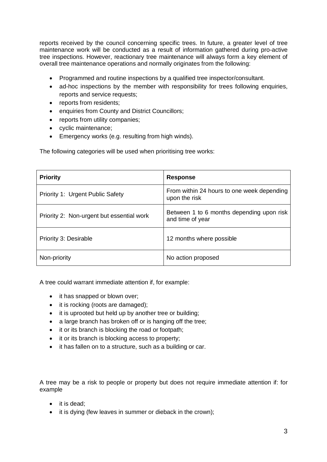reports received by the council concerning specific trees. In future, a greater level of tree maintenance work will be conducted as a result of information gathered during pro-active tree inspections. However, reactionary tree maintenance will always form a key element of overall tree maintenance operations and normally originates from the following:

- Programmed and routine inspections by a qualified tree inspector/consultant.
- ad-hoc inspections by the member with responsibility for trees following enquiries, reports and service requests;
- reports from residents;
- enquiries from County and District Councillors;
- reports from utility companies;
- cyclic maintenance:
- Emergency works (e.g. resulting from high winds).

The following categories will be used when prioritising tree works:

| <b>Priority</b>                           | <b>Response</b>                                               |
|-------------------------------------------|---------------------------------------------------------------|
| Priority 1: Urgent Public Safety          | From within 24 hours to one week depending<br>upon the risk   |
| Priority 2: Non-urgent but essential work | Between 1 to 6 months depending upon risk<br>and time of year |
| Priority 3: Desirable                     | 12 months where possible                                      |
| Non-priority                              | No action proposed                                            |

A tree could warrant immediate attention if, for example:

- it has snapped or blown over;
- it is rocking (roots are damaged);
- it is uprooted but held up by another tree or building;
- a large branch has broken off or is hanging off the tree:
- it or its branch is blocking the road or footpath;
- it or its branch is blocking access to property;
- it has fallen on to a structure, such as a building or car.

A tree may be a risk to people or property but does not require immediate attention if: for example

- it is dead;
- it is dying (few leaves in summer or dieback in the crown);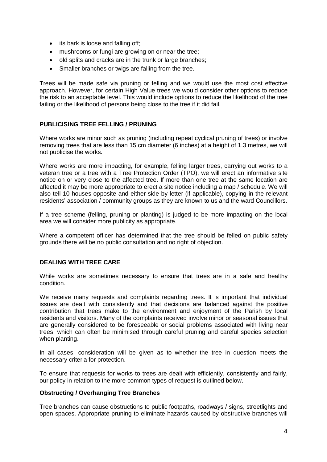- its bark is loose and falling off:
- mushrooms or fungi are growing on or near the tree;
- old splits and cracks are in the trunk or large branches;
- Smaller branches or twigs are falling from the tree.

Trees will be made safe via pruning or felling and we would use the most cost effective approach. However, for certain High Value trees we would consider other options to reduce the risk to an acceptable level. This would include options to reduce the likelihood of the tree failing or the likelihood of persons being close to the tree if it did fail.

## **PUBLICISING TREE FELLING / PRUNING**

Where works are minor such as pruning (including repeat cyclical pruning of trees) or involve removing trees that are less than 15 cm diameter (6 inches) at a height of 1.3 metres, we will not publicise the works.

Where works are more impacting, for example, felling larger trees, carrying out works to a veteran tree or a tree with a Tree Protection Order (TPO), we will erect an informative site notice on or very close to the affected tree. If more than one tree at the same location are affected it may be more appropriate to erect a site notice including a map / schedule. We will also tell 10 houses opposite and either side by letter (if applicable), copying in the relevant residents' association / community groups as they are known to us and the ward Councillors.

If a tree scheme (felling, pruning or planting) is judged to be more impacting on the local area we will consider more publicity as appropriate.

Where a competent officer has determined that the tree should be felled on public safety grounds there will be no public consultation and no right of objection.

## **DEALING WITH TREE CARE**

While works are sometimes necessary to ensure that trees are in a safe and healthy condition.

We receive many requests and complaints regarding trees. It is important that individual issues are dealt with consistently and that decisions are balanced against the positive contribution that trees make to the environment and enjoyment of the Parish by local residents and visitors. Many of the complaints received involve minor or seasonal issues that are generally considered to be foreseeable or social problems associated with living near trees, which can often be minimised through careful pruning and careful species selection when planting.

In all cases, consideration will be given as to whether the tree in question meets the necessary criteria for protection.

To ensure that requests for works to trees are dealt with efficiently, consistently and fairly, our policy in relation to the more common types of request is outlined below.

## **Obstructing / Overhanging Tree Branches**

Tree branches can cause obstructions to public footpaths, roadways / signs, streetlights and open spaces. Appropriate pruning to eliminate hazards caused by obstructive branches will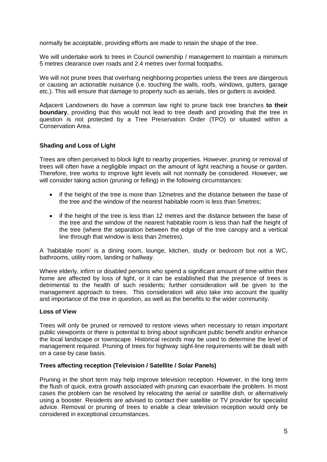normally be acceptable, providing efforts are made to retain the shape of the tree.

We will undertake work to trees in Council ownership / management to maintain a minimum 5 metres clearance over roads and 2.4 metres over formal footpaths.

We will not prune trees that overhang neighboring properties unless the trees are dangerous or causing an actionable nuisance (i.e. touching the walls, roofs, windows, gutters, garage etc.). This will ensure that damage to property such as aerials, tiles or gutters is avoided.

Adjacent Landowners do have a common law right to prune back tree branches **to their boundary**, providing that this would not lead to tree death and providing that the tree in question is not protected by a Tree Preservation Order (TPO) or situated within a Conservation Area.

## **Shading and Loss of Light**

Trees are often perceived to block light to nearby properties. However, pruning or removal of trees will often have a negligible impact on the amount of light reaching a house or garden. Therefore, tree works to improve light levels will not normally be considered. However, we will consider taking action (pruning or felling) in the following circumstances:

- if the height of the tree is more than 12 metres and the distance between the base of the tree and the window of the nearest habitable room is less than 5metres;
- if the height of the tree is less than 12 metres and the distance between the base of the tree and the window of the nearest habitable room is less than half the height of the tree (where the separation between the edge of the tree canopy and a vertical line through that window is less than 2metres).

A 'habitable room' is a dining room, lounge, kitchen, study or bedroom but not a WC, bathrooms, utility room, landing or hallway.

Where elderly, infirm or disabled persons who spend a significant amount of time within their home are affected by loss of light, or it can be established that the presence of trees is detrimental to the health of such residents; further consideration will be given to the management approach to trees. This consideration will also take into account the quality and importance of the tree in question, as well as the benefits to the wider community.

## **Loss of View**

Trees will only be pruned or removed to restore views when necessary to retain important public viewpoints or there is potential to bring about significant public benefit and/or enhance the local landscape or townscape. Historical records may be used to determine the level of management required. Pruning of trees for highway sight-line requirements will be dealt with on a case by case basis.

## **Trees affecting reception (Television / Satellite / Solar Panels)**

Pruning in the short term may help improve television reception. However, in the long term the flush of quick, extra growth associated with pruning can exacerbate the problem. In most cases the problem can be resolved by relocating the aerial or satellite dish, or alternatively using a booster. Residents are advised to contact their satellite or TV provider for specialist advice. Removal or pruning of trees to enable a clear television reception would only be considered in exceptional circumstances.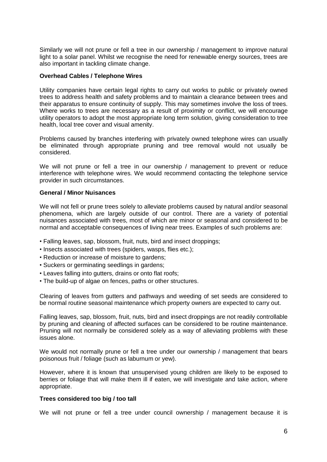Similarly we will not prune or fell a tree in our ownership / management to improve natural light to a solar panel. Whilst we recognise the need for renewable energy sources, trees are also important in tackling climate change.

#### **Overhead Cables / Telephone Wires**

Utility companies have certain legal rights to carry out works to public or privately owned trees to address health and safety problems and to maintain a clearance between trees and their apparatus to ensure continuity of supply. This may sometimes involve the loss of trees. Where works to trees are necessary as a result of proximity or conflict, we will encourage utility operators to adopt the most appropriate long term solution, giving consideration to tree health, local tree cover and visual amenity.

Problems caused by branches interfering with privately owned telephone wires can usually be eliminated through appropriate pruning and tree removal would not usually be considered.

We will not prune or fell a tree in our ownership / management to prevent or reduce interference with telephone wires. We would recommend contacting the telephone service provider in such circumstances.

#### **General / Minor Nuisances**

We will not fell or prune trees solely to alleviate problems caused by natural and/or seasonal phenomena, which are largely outside of our control. There are a variety of potential nuisances associated with trees, most of which are minor or seasonal and considered to be normal and acceptable consequences of living near trees. Examples of such problems are:

- Falling leaves, sap, blossom, fruit, nuts, bird and insect droppings;
- Insects associated with trees (spiders, wasps, flies etc.);
- Reduction or increase of moisture to gardens;
- Suckers or germinating seedlings in gardens;
- Leaves falling into gutters, drains or onto flat roofs;
- The build-up of algae on fences, paths or other structures.

Clearing of leaves from gutters and pathways and weeding of set seeds are considered to be normal routine seasonal maintenance which property owners are expected to carry out.

Falling leaves, sap, blossom, fruit, nuts, bird and insect droppings are not readily controllable by pruning and cleaning of affected surfaces can be considered to be routine maintenance. Pruning will not normally be considered solely as a way of alleviating problems with these issues alone.

We would not normally prune or fell a tree under our ownership / management that bears poisonous fruit / foliage (such as laburnum or yew).

However, where it is known that unsupervised young children are likely to be exposed to berries or foliage that will make them ill if eaten, we will investigate and take action, where appropriate.

#### **Trees considered too big / too tall**

We will not prune or fell a tree under council ownership / management because it is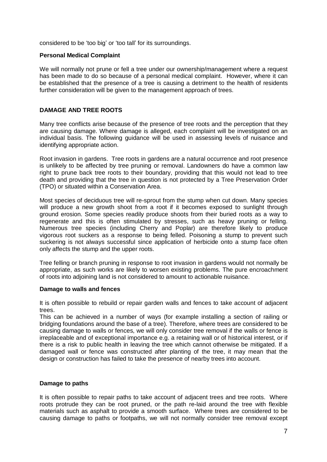considered to be 'too big' or 'too tall' for its surroundings.

#### **Personal Medical Complaint**

We will normally not prune or fell a tree under our ownership/management where a request has been made to do so because of a personal medical complaint. However, where it can be established that the presence of a tree is causing a detriment to the health of residents further consideration will be given to the management approach of trees.

## **DAMAGE AND TREE ROOTS**

Many tree conflicts arise because of the presence of tree roots and the perception that they are causing damage. Where damage is alleged, each complaint will be investigated on an individual basis. The following guidance will be used in assessing levels of nuisance and identifying appropriate action.

Root invasion in gardens. Tree roots in gardens are a natural occurrence and root presence is unlikely to be affected by tree pruning or removal. Landowners do have a common law right to prune back tree roots to their boundary, providing that this would not lead to tree death and providing that the tree in question is not protected by a Tree Preservation Order (TPO) or situated within a Conservation Area.

Most species of deciduous tree will re-sprout from the stump when cut down. Many species will produce a new growth shoot from a root if it becomes exposed to sunlight through ground erosion. Some species readily produce shoots from their buried roots as a way to regenerate and this is often stimulated by stresses, such as heavy pruning or felling. Numerous tree species (including Cherry and Poplar) are therefore likely to produce vigorous root suckers as a response to being felled. Poisoning a stump to prevent such suckering is not always successful since application of herbicide onto a stump face often only affects the stump and the upper roots.

Tree felling or branch pruning in response to root invasion in gardens would not normally be appropriate, as such works are likely to worsen existing problems. The pure encroachment of roots into adjoining land is not considered to amount to actionable nuisance.

#### **Damage to walls and fences**

It is often possible to rebuild or repair garden walls and fences to take account of adjacent trees.

This can be achieved in a number of ways (for example installing a section of railing or bridging foundations around the base of a tree). Therefore, where trees are considered to be causing damage to walls or fences, we will only consider tree removal if the walls or fence is irreplaceable and of exceptional importance e.g. a retaining wall or of historical interest, or if there is a risk to public health in leaving the tree which cannot otherwise be mitigated. If a damaged wall or fence was constructed after planting of the tree, it may mean that the design or construction has failed to take the presence of nearby trees into account.

#### **Damage to paths**

It is often possible to repair paths to take account of adjacent trees and tree roots. Where roots protrude they can be root pruned, or the path re-laid around the tree with flexible materials such as asphalt to provide a smooth surface. Where trees are considered to be causing damage to paths or footpaths, we will not normally consider tree removal except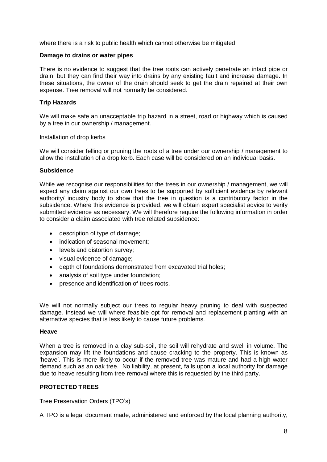where there is a risk to public health which cannot otherwise be mitigated.

#### **Damage to drains or water pipes**

There is no evidence to suggest that the tree roots can actively penetrate an intact pipe or drain, but they can find their way into drains by any existing fault and increase damage. In these situations, the owner of the drain should seek to get the drain repaired at their own expense. Tree removal will not normally be considered.

#### **Trip Hazards**

We will make safe an unacceptable trip hazard in a street, road or highway which is caused by a tree in our ownership / management.

#### Installation of drop kerbs

We will consider felling or pruning the roots of a tree under our ownership / management to allow the installation of a drop kerb. Each case will be considered on an individual basis.

#### **Subsidence**

While we recognise our responsibilities for the trees in our ownership / management, we will expect any claim against our own trees to be supported by sufficient evidence by relevant authority/ industry body to show that the tree in question is a contributory factor in the subsidence. Where this evidence is provided, we will obtain expert specialist advice to verify submitted evidence as necessary. We will therefore require the following information in order to consider a claim associated with tree related subsidence:

- description of type of damage;
- indication of seasonal movement;
- levels and distortion survey;
- visual evidence of damage;
- depth of foundations demonstrated from excavated trial holes;
- analysis of soil type under foundation;
- presence and identification of trees roots.

We will not normally subject our trees to regular heavy pruning to deal with suspected damage. Instead we will where feasible opt for removal and replacement planting with an alternative species that is less likely to cause future problems.

#### **Heave**

When a tree is removed in a clay sub-soil, the soil will rehydrate and swell in volume. The expansion may lift the foundations and cause cracking to the property. This is known as 'heave'. This is more likely to occur if the removed tree was mature and had a high water demand such as an oak tree. No liability, at present, falls upon a local authority for damage due to heave resulting from tree removal where this is requested by the third party.

## **PROTECTED TREES**

Tree Preservation Orders (TPO's)

A TPO is a legal document made, administered and enforced by the local planning authority,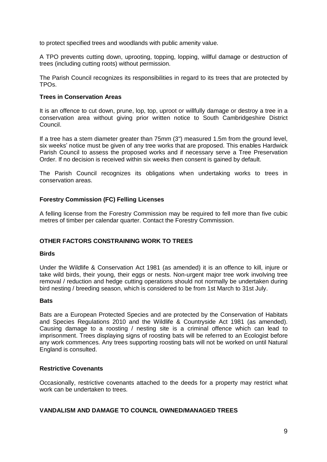to protect specified trees and woodlands with public amenity value.

A TPO prevents cutting down, uprooting, topping, lopping, willful damage or destruction of trees (including cutting roots) without permission.

The Parish Council recognizes its responsibilities in regard to its trees that are protected by TPOs.

#### **Trees in Conservation Areas**

It is an offence to cut down, prune, lop, top, uproot or willfully damage or destroy a tree in a conservation area without giving prior written notice to South Cambridgeshire District Council.

If a tree has a stem diameter greater than 75mm (3") measured 1.5m from the ground level, six weeks' notice must be given of any tree works that are proposed. This enables Hardwick Parish Council to assess the proposed works and if necessary serve a Tree Preservation Order. If no decision is received within six weeks then consent is gained by default.

The Parish Council recognizes its obligations when undertaking works to trees in conservation areas.

## **Forestry Commission (FC) Felling Licenses**

A felling license from the Forestry Commission may be required to fell more than five cubic metres of timber per calendar quarter. Contact the Forestry Commission.

## **OTHER FACTORS CONSTRAINING WORK TO TREES**

#### **Birds**

Under the Wildlife & Conservation Act 1981 (as amended) it is an offence to kill, injure or take wild birds, their young, their eggs or nests. Non-urgent major tree work involving tree removal / reduction and hedge cutting operations should not normally be undertaken during bird nesting / breeding season, which is considered to be from 1st March to 31st July.

#### **Bats**

Bats are a European Protected Species and are protected by the Conservation of Habitats and Species Regulations 2010 and the Wildlife & Countryside Act 1981 (as amended). Causing damage to a roosting / nesting site is a criminal offence which can lead to imprisonment. Trees displaying signs of roosting bats will be referred to an Ecologist before any work commences. Any trees supporting roosting bats will not be worked on until Natural England is consulted.

#### **Restrictive Covenants**

Occasionally, restrictive covenants attached to the deeds for a property may restrict what work can be undertaken to trees.

#### **VANDALISM AND DAMAGE TO COUNCIL OWNED/MANAGED TREES**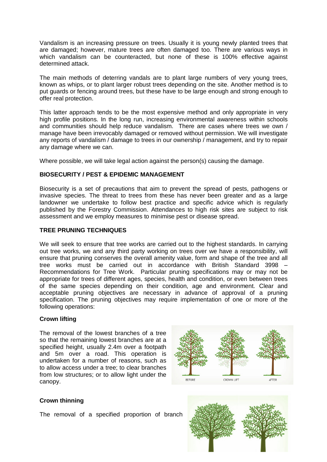Vandalism is an increasing pressure on trees. Usually it is young newly planted trees that are damaged; however, mature trees are often damaged too. There are various ways in which vandalism can be counteracted, but none of these is 100% effective against determined attack.

The main methods of deterring vandals are to plant large numbers of very young trees, known as whips, or to plant larger robust trees depending on the site. Another method is to put guards or fencing around trees, but these have to be large enough and strong enough to offer real protection.

This latter approach tends to be the most expensive method and only appropriate in very high profile positions. In the long run, increasing environmental awareness within schools and communities should help reduce vandalism. There are cases where trees we own / manage have been irrevocably damaged or removed without permission. We will investigate any reports of vandalism / damage to trees in our ownership / management, and try to repair any damage where we can.

Where possible, we will take legal action against the person(s) causing the damage.

## **BIOSECURITY / PEST & EPIDEMIC MANAGEMENT**

Biosecurity is a set of precautions that aim to prevent the spread of pests, pathogens or invasive species. The threat to trees from these has never been greater and as a large landowner we undertake to follow best practice and specific advice which is regularly published by the Forestry Commission. Attendances to high risk sites are subject to risk assessment and we employ measures to minimise pest or disease spread.

## **TREE PRUNING TECHNIQUES**

We will seek to ensure that tree works are carried out to the highest standards. In carrying out tree works, we and any third party working on trees over we have a responsibility, will ensure that pruning conserves the overall amenity value, form and shape of the tree and all tree works must be carried out in accordance with British Standard 3998 – Recommendations for Tree Work. Particular pruning specifications may or may not be appropriate for trees of different ages, species, health and condition, or even between trees of the same species depending on their condition, age and environment. Clear and acceptable pruning objectives are necessary in advance of approval of a pruning specification. The pruning objectives may require implementation of one or more of the following operations:

## **Crown lifting**

The removal of the lowest branches of a tree so that the remaining lowest branches are at a specified height, usually 2.4m over a footpath and 5m over a road. This operation is undertaken for a number of reasons, such as to allow access under a tree; to clear branches from low structures; or to allow light under the canopy.



## **Crown thinning**

The removal of a specified proportion of branch

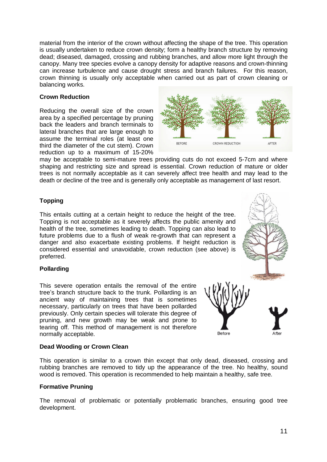material from the interior of the crown without affecting the shape of the tree. This operation is usually undertaken to reduce crown density; form a healthy branch structure by removing dead; diseased, damaged, crossing and rubbing branches, and allow more light through the canopy. Many tree species evolve a canopy density for adaptive reasons and crown-thinning can increase turbulence and cause drought stress and branch failures. For this reason, crown thinning is usually only acceptable when carried out as part of crown cleaning or balancing works.

## **Crown Reduction**

Reducing the overall size of the crown area by a specified percentage by pruning back the leaders and branch terminals to lateral branches that are large enough to assume the terminal roles (at least one third the diameter of the cut stem). Crown reduction up to a maximum of 15-20%



may be acceptable to semi-mature trees providing cuts do not exceed 5-7cm and where shaping and restricting size and spread is essential. Crown reduction of mature or older trees is not normally acceptable as it can severely affect tree health and may lead to the death or decline of the tree and is generally only acceptable as management of last resort.

## **Topping**

This entails cutting at a certain height to reduce the height of the tree. Topping is not acceptable as it severely affects the public amenity and health of the tree, sometimes leading to death. Topping can also lead to future problems due to a flush of weak re-growth that can represent a danger and also exacerbate existing problems. If height reduction is considered essential and unavoidable, crown reduction (see above) is preferred.

## **Pollarding**

This severe operation entails the removal of the entire tree's branch structure back to the trunk. Pollarding is an ancient way of maintaining trees that is sometimes necessary, particularly on trees that have been pollarded previously. Only certain species will tolerate this degree of pruning, and new growth may be weak and prone to tearing off. This method of management is not therefore normally acceptable.



## **Dead Wooding or Crown Clean**

This operation is similar to a crown thin except that only dead, diseased, crossing and rubbing branches are removed to tidy up the appearance of the tree. No healthy, sound wood is removed. This operation is recommended to help maintain a healthy, safe tree.

## **Formative Pruning**

The removal of problematic or potentially problematic branches, ensuring good tree development.